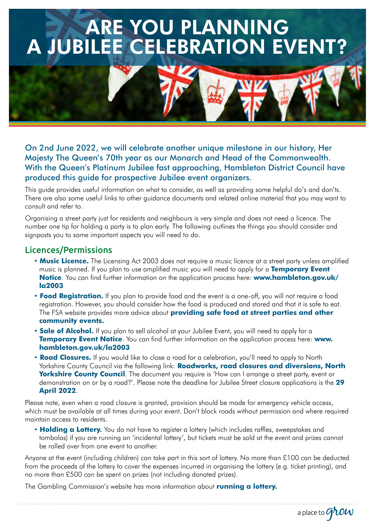# ARE YOU PLANNING A JUBILEE CELEBRATION EVENT?

On 2nd June 2022, we will celebrate another unique milestone in our history, Her Majesty The Queen's 70th year as our Monarch and Head of the Commonwealth. With the Queen's Platinum Jubilee fast approaching, Hambleton District Council have produced this guide for prospective Jubilee event organizers.

This guide provides useful information on what to consider, as well as providing some helpful do's and don'ts. There are also some useful links to other guidance documents and related online material that you may want to consult and refer to.

Organising a street party just for residents and neighbours is very simple and does not need a licence. The number one tip for holding a party is to plan early. The following outlines the things you should consider and signposts you to some important aspects you will need to do.

## Licences/Permissions

- **Music Licence.** The Licensing Act 2003 does not require a music licence at a street party unless amplified music is planned. If you plan to use amplified music you will need to apply for a **Temporary Event Notice**. You can find further information on the application process here: **[www.hambleton.gov.uk/](http://www.hambleton.gov.uk/la2003) [la2003](http://www.hambleton.gov.uk/la2003)**
- **Food Registration.** If you plan to provide food and the event is a one-off, you will not require a food registration. However, you should consider how the food is produced and stored and that it is safe to eat. The FSA website provides more advice about **[providing safe food at street parties and other](https://www.food.gov.uk/safety-hygiene/providing-food-at-community-and-charity-events)  [community events.](https://www.food.gov.uk/safety-hygiene/providing-food-at-community-and-charity-events)**
- **Sale of Alcohol.** If you plan to sell alcohol at your Jubilee Event, you will need to apply for a **Temporary Event Notice**. You can find further information on the application process here: **[www.](http://www.hambleton.gov.uk/la2003) [hambleton.gov.uk/la2003](http://www.hambleton.gov.uk/la2003)**
- **Road Closures.** If you would like to close a road for a celebration, you'll need to apply to North Yorkshire County Council via the following link: **[Roadworks, road closures and diversions, North](http:// .Roadworks, road closures and diversions | North Yorkshire County Council)  [Yorkshire County Council](http:// .Roadworks, road closures and diversions | North Yorkshire County Council)**. The document you require is 'How can I arrange a street party, event or demonstration on or by a road?'. Please note the deadline for Jubilee Street closure applications is the **29 April 2022**.

Please note, even when a road closure is granted, provision should be made for emergency vehicle access, which must be available at all times during your event. Don't block roads without permission and where required maintain access to residents.

**• Holding a Lottery.** You do not have to register a lottery (which includes raffles, sweepstakes and tombolas) if you are running an 'incidental lottery', but tickets must be sold at the event and prizes cannot be rolled over from one event to another.

Anyone at the event (including children) can take part in this sort of lottery. No more than £100 can be deducted from the proceeds of the lottery to cover the expenses incurred in organising the lottery (e.g. ticket printing), and no more than £500 can be spent on prizes (not including donated prizes).

a place to  $G^{\lambda}$ OW

The Gambling Commission's website has more information about **[running a lottery.](https://www.gamblingcommission.gov.uk/public-and-players/guide/page/types-of-lottery-you-can-run-without-a-licence)**